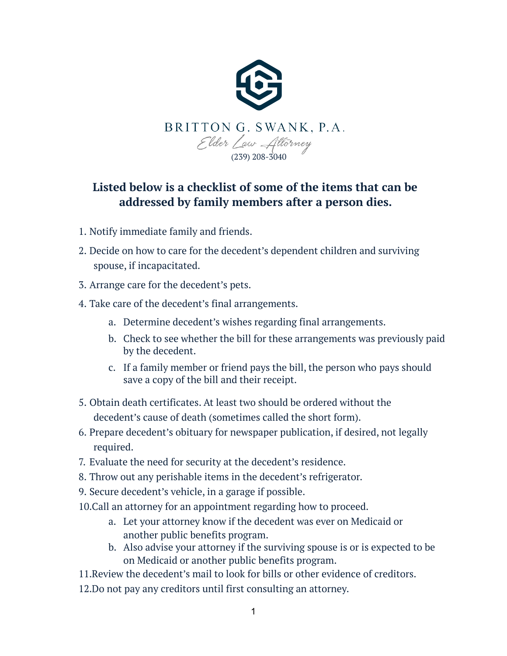

## **Listed below is a checklist of some of the items that can be addressed by family members after a person dies.**

- 1. Notify immediate family and friends.
- 2. Decide on how to care for the decedent's dependent children and surviving spouse, if incapacitated.
- 3. Arrange care for the decedent's pets.
- 4. Take care of the decedent's final arrangements.
	- a. Determine decedent's wishes regarding final arrangements.
	- b. Check to see whether the bill for these arrangements was previously paid by the decedent.
	- c. If a family member or friend pays the bill, the person who pays should save a copy of the bill and their receipt.
- 5. Obtain death certificates. At least two should be ordered without the decedent's cause of death (sometimes called the short form).
- 6. Prepare decedent's obituary for newspaper publication, if desired, not legally required.
- 7. Evaluate the need for security at the decedent's residence.
- 8. Throw out any perishable items in the decedent's refrigerator.
- 9. Secure decedent's vehicle, in a garage if possible.
- 10.Call an attorney for an appointment regarding how to proceed.
	- a. Let your attorney know if the decedent was ever on Medicaid or another public benefits program.
	- b. Also advise your attorney if the surviving spouse is or is expected to be on Medicaid or another public benefits program.
- 11.Review the decedent's mail to look for bills or other evidence of creditors.
- 12.Do not pay any creditors until first consulting an attorney.